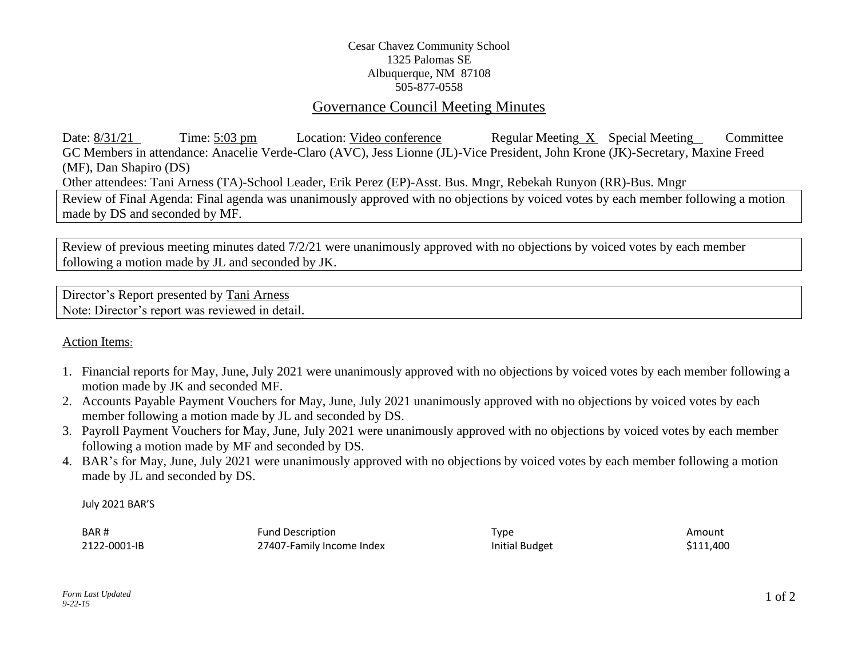## Cesar Chavez Community School 1325 Palomas SE Albuquerque, NM 87108 505-877-0558

# Governance Council Meeting Minutes

Date: 8/31/21 Time: 5:03 pm Location: Video conference Regular Meeting X Special Meeting Committee GC Members in attendance: Anacelie Verde-Claro (AVC), Jess Lionne (JL)-Vice President, John Krone (JK)-Secretary, Maxine Freed (MF), Dan Shapiro (DS) Other attendees: Tani Arness (TA)-School Leader, Erik Perez (EP)-Asst. Bus. Mngr, Rebekah Runyon (RR)-Bus. Mngr Review of Final Agenda: Final agenda was unanimously approved with no objections by voiced votes by each member following a motion made by DS and seconded by MF.

Review of previous meeting minutes dated 7/2/21 were unanimously approved with no objections by voiced votes by each member following a motion made by JL and seconded by JK.

Director's Report presented by Tani Arness Note: Director's report was reviewed in detail.

## Action Items:

- 1. Financial reports for May, June, July 2021 were unanimously approved with no objections by voiced votes by each member following a motion made by JK and seconded MF.
- 2. Accounts Payable Payment Vouchers for May, June, July 2021 unanimously approved with no objections by voiced votes by each member following a motion made by JL and seconded by DS.
- 3. Payroll Payment Vouchers for May, June, July 2021 were unanimously approved with no objections by voiced votes by each member following a motion made by MF and seconded by DS.
- 4. BAR's for May, June, July 2021 were unanimously approved with no objections by voiced votes by each member following a motion made by JL and seconded by DS.

July 2021 BAR'S

| BAR#         | <b>Fund Description</b>   | Type                  | Amount    |
|--------------|---------------------------|-----------------------|-----------|
| 2122-0001-IB | 27407-Family Income Index | <b>Initial Budget</b> | \$111,400 |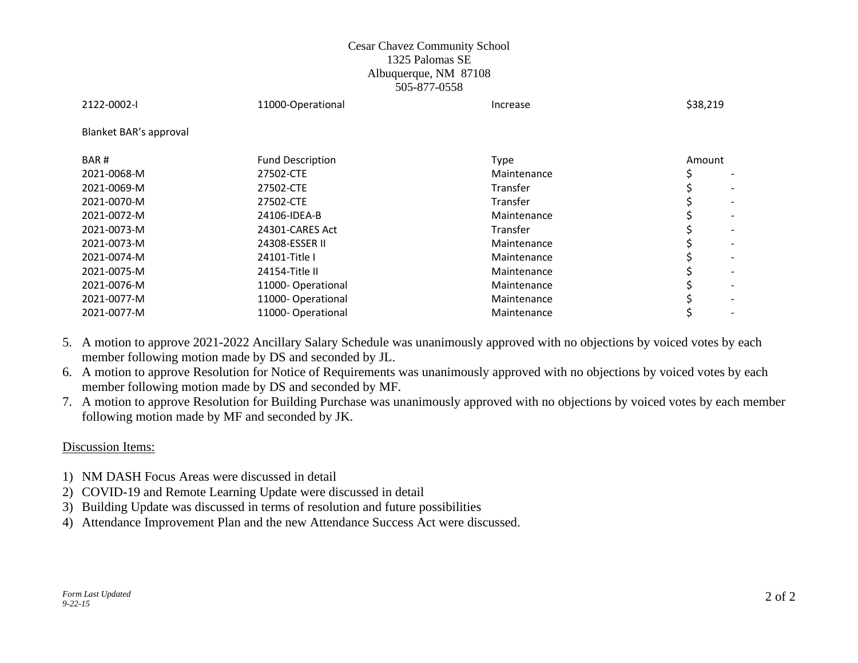### Cesar Chavez Community School 1325 Palomas SE Albuquerque, NM 87108 505-877-0558

| 2122-0002-1            | 11000-Operational       | Increase    | \$38,219 |
|------------------------|-------------------------|-------------|----------|
| Blanket BAR's approval |                         |             |          |
| BAR#                   | <b>Fund Description</b> | <b>Type</b> | Amount   |
| 2021-0068-M            | 27502-CTE               | Maintenance |          |
| 2021-0069-M            | 27502-CTE               | Transfer    |          |
| 2021-0070-M            | 27502-CTE               | Transfer    |          |
| 2021-0072-M            | 24106-IDEA-B            | Maintenance |          |
| 2021-0073-M            | 24301-CARES Act         | Transfer    |          |
| 2021-0073-M            | 24308-ESSER II          | Maintenance |          |
| 2021-0074-M            | 24101-Title I           | Maintenance |          |
| 2021-0075-M            | 24154-Title II          | Maintenance |          |
| 2021-0076-M            | 11000-Operational       | Maintenance |          |
| 2021-0077-M            | 11000-Operational       | Maintenance |          |
| 2021-0077-M            | 11000-Operational       | Maintenance |          |

5. A motion to approve 2021-2022 Ancillary Salary Schedule was unanimously approved with no objections by voiced votes by each member following motion made by DS and seconded by JL.

6. A motion to approve Resolution for Notice of Requirements was unanimously approved with no objections by voiced votes by each member following motion made by DS and seconded by MF.

7. A motion to approve Resolution for Building Purchase was unanimously approved with no objections by voiced votes by each member following motion made by MF and seconded by JK.

### Discussion Items:

- 1) NM DASH Focus Areas were discussed in detail
- 2) COVID-19 and Remote Learning Update were discussed in detail
- 3) Building Update was discussed in terms of resolution and future possibilities
- 4) Attendance Improvement Plan and the new Attendance Success Act were discussed.